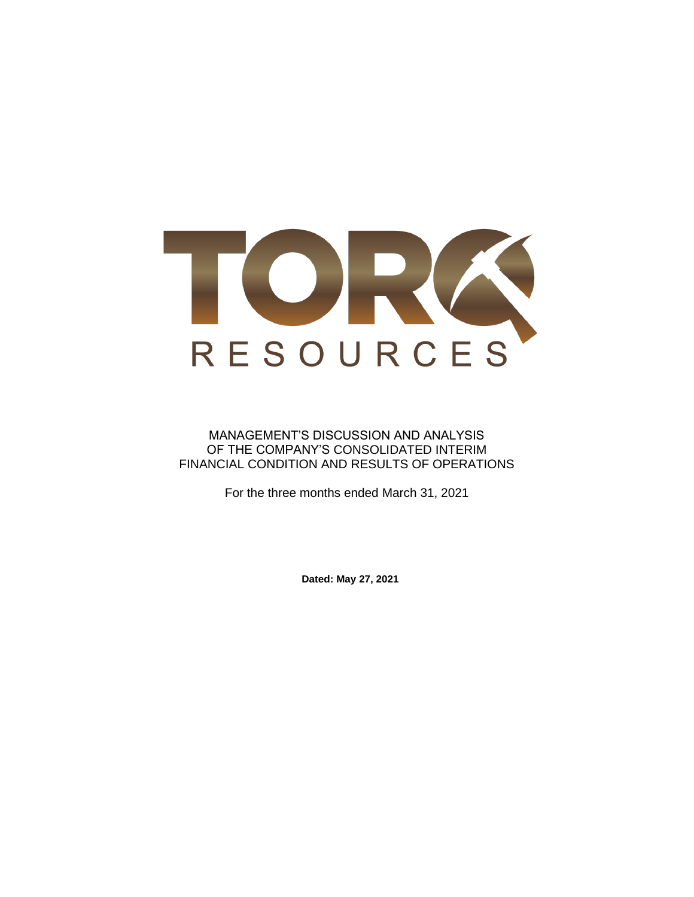

### MANAGEMENT'S DISCUSSION AND ANALYSIS OF THE COMPANY'S CONSOLIDATED INTERIM FINANCIAL CONDITION AND RESULTS OF OPERATIONS

For the three months ended March 31, 2021

**Dated: May 27, 2021**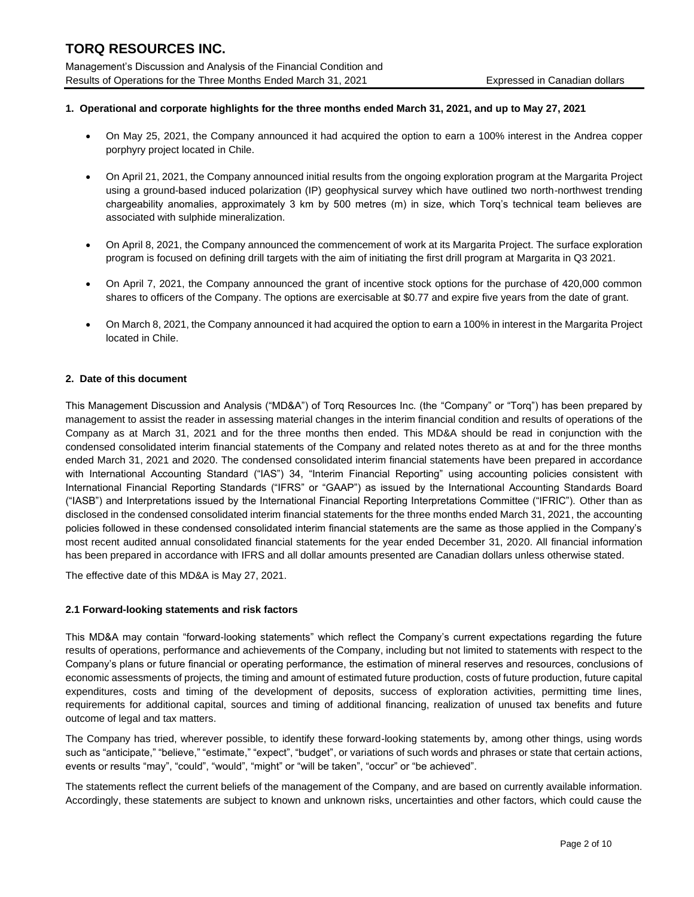Management's Discussion and Analysis of the Financial Condition and Results of Operations for the Three Months Ended March 31, 2021 Expressed in Canadian dollars

### **1. Operational and corporate highlights for the three months ended March 31, 2021, and up to May 27, 2021**

- On May 25, 2021, the Company announced it had acquired the option to earn a 100% interest in the Andrea copper porphyry project located in Chile.
- On April 21, 2021, the Company announced initial results from the ongoing exploration program at the Margarita Project using a ground-based induced polarization (IP) geophysical survey which have outlined two north-northwest trending chargeability anomalies, approximately 3 km by 500 metres (m) in size, which Torq's technical team believes are associated with sulphide mineralization.
- On April 8, 2021, the Company announced the commencement of work at its Margarita Project. The surface exploration program is focused on defining drill targets with the aim of initiating the first drill program at Margarita in Q3 2021.
- On April 7, 2021, the Company announced the grant of incentive stock options for the purchase of 420,000 common shares to officers of the Company. The options are exercisable at \$0.77 and expire five years from the date of grant.
- On March 8, 2021, the Company announced it had acquired the option to earn a 100% in interest in the Margarita Project located in Chile.

#### **2. Date of this document**

This Management Discussion and Analysis ("MD&A") of Torq Resources Inc. (the "Company" or "Torq") has been prepared by management to assist the reader in assessing material changes in the interim financial condition and results of operations of the Company as at March 31, 2021 and for the three months then ended. This MD&A should be read in conjunction with the condensed consolidated interim financial statements of the Company and related notes thereto as at and for the three months ended March 31, 2021 and 2020. The condensed consolidated interim financial statements have been prepared in accordance with International Accounting Standard ("IAS") 34, "Interim Financial Reporting" using accounting policies consistent with International Financial Reporting Standards ("IFRS" or "GAAP") as issued by the International Accounting Standards Board ("IASB") and Interpretations issued by the International Financial Reporting Interpretations Committee ("IFRIC"). Other than as disclosed in the condensed consolidated interim financial statements for the three months ended March 31, 2021, the accounting policies followed in these condensed consolidated interim financial statements are the same as those applied in the Company's most recent audited annual consolidated financial statements for the year ended December 31, 2020. All financial information has been prepared in accordance with IFRS and all dollar amounts presented are Canadian dollars unless otherwise stated.

The effective date of this MD&A is May 27, 2021.

#### **2.1 Forward-looking statements and risk factors**

This MD&A may contain "forward-looking statements" which reflect the Company's current expectations regarding the future results of operations, performance and achievements of the Company, including but not limited to statements with respect to the Company's plans or future financial or operating performance, the estimation of mineral reserves and resources, conclusions of economic assessments of projects, the timing and amount of estimated future production, costs of future production, future capital expenditures, costs and timing of the development of deposits, success of exploration activities, permitting time lines, requirements for additional capital, sources and timing of additional financing, realization of unused tax benefits and future outcome of legal and tax matters.

The Company has tried, wherever possible, to identify these forward-looking statements by, among other things, using words such as "anticipate," "believe," "estimate," "expect", "budget", or variations of such words and phrases or state that certain actions, events or results "may", "could", "would", "might" or "will be taken", "occur" or "be achieved".

The statements reflect the current beliefs of the management of the Company, and are based on currently available information. Accordingly, these statements are subject to known and unknown risks, uncertainties and other factors, which could cause the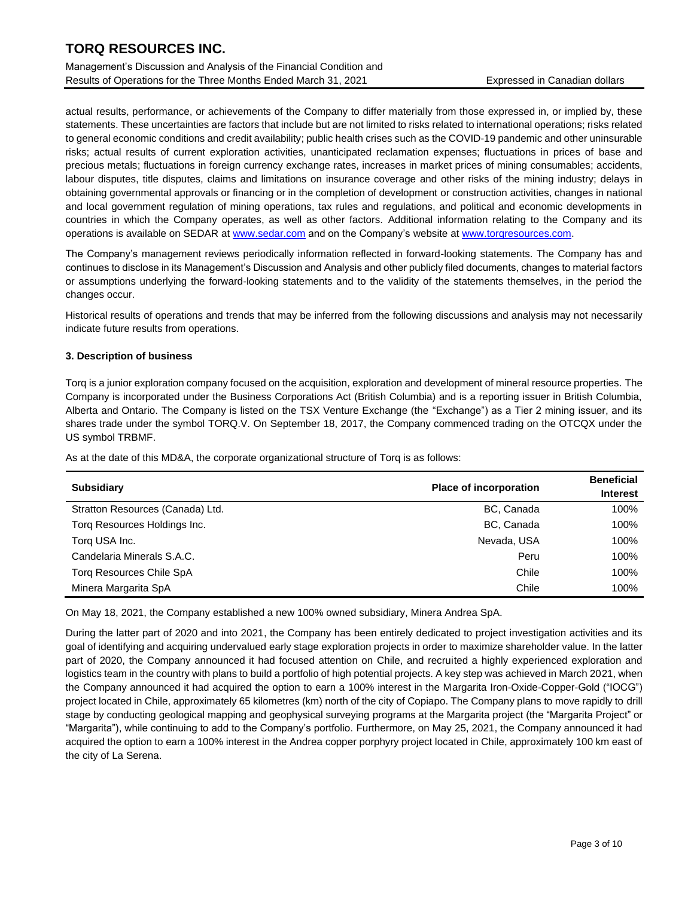Management's Discussion and Analysis of the Financial Condition and Results of Operations for the Three Months Ended March 31, 2021 Expressed in Canadian dollars

actual results, performance, or achievements of the Company to differ materially from those expressed in, or implied by, these statements. These uncertainties are factors that include but are not limited to risks related to international operations; risks related to general economic conditions and credit availability; public health crises such as the COVID-19 pandemic and other uninsurable risks; actual results of current exploration activities, unanticipated reclamation expenses; fluctuations in prices of base and precious metals; fluctuations in foreign currency exchange rates, increases in market prices of mining consumables; accidents, labour disputes, title disputes, claims and limitations on insurance coverage and other risks of the mining industry; delays in obtaining governmental approvals or financing or in the completion of development or construction activities, changes in national and local government regulation of mining operations, tax rules and regulations, and political and economic developments in countries in which the Company operates, as well as other factors. Additional information relating to the Company and its operations is available on SEDAR at [www.sedar.com](http://www.sedar.com/) and on the Company's website at www.torgresources.com.

The Company's management reviews periodically information reflected in forward-looking statements. The Company has and continues to disclose in its Management's Discussion and Analysis and other publicly filed documents, changes to material factors or assumptions underlying the forward-looking statements and to the validity of the statements themselves, in the period the changes occur.

Historical results of operations and trends that may be inferred from the following discussions and analysis may not necessarily indicate future results from operations.

### **3. Description of business**

Torq is a junior exploration company focused on the acquisition, exploration and development of mineral resource properties. The Company is incorporated under the Business Corporations Act (British Columbia) and is a reporting issuer in British Columbia, Alberta and Ontario. The Company is listed on the TSX Venture Exchange (the "Exchange") as a Tier 2 mining issuer, and its shares trade under the symbol TORQ.V. On September 18, 2017, the Company commenced trading on the OTCQX under the US symbol TRBMF.

As at the date of this MD&A, the corporate organizational structure of Torq is as follows:

| <b>Subsidiary</b>                | <b>Place of incorporation</b> |      |
|----------------------------------|-------------------------------|------|
| Stratton Resources (Canada) Ltd. | BC, Canada                    | 100% |
| Torg Resources Holdings Inc.     | BC, Canada                    | 100% |
| Torg USA Inc.                    | Nevada, USA                   | 100% |
| Candelaria Minerals S.A.C.       | Peru                          | 100% |
| <b>Torg Resources Chile SpA</b>  | Chile                         | 100% |
| Minera Margarita SpA             | Chile                         | 100% |

On May 18, 2021, the Company established a new 100% owned subsidiary, Minera Andrea SpA.

During the latter part of 2020 and into 2021, the Company has been entirely dedicated to project investigation activities and its goal of identifying and acquiring undervalued early stage exploration projects in order to maximize shareholder value. In the latter part of 2020, the Company announced it had focused attention on Chile, and recruited a highly experienced exploration and logistics team in the country with plans to build a portfolio of high potential projects. A key step was achieved in March 2021, when the Company announced it had acquired the option to earn a 100% interest in the Margarita Iron-Oxide-Copper-Gold ("IOCG") project located in Chile, approximately 65 kilometres (km) north of the city of Copiapo. The Company plans to move rapidly to drill stage by conducting geological mapping and geophysical surveying programs at the Margarita project (the "Margarita Project" or "Margarita"), while continuing to add to the Company's portfolio. Furthermore, on May 25, 2021, the Company announced it had acquired the option to earn a 100% interest in the Andrea copper porphyry project located in Chile, approximately 100 km east of the city of La Serena.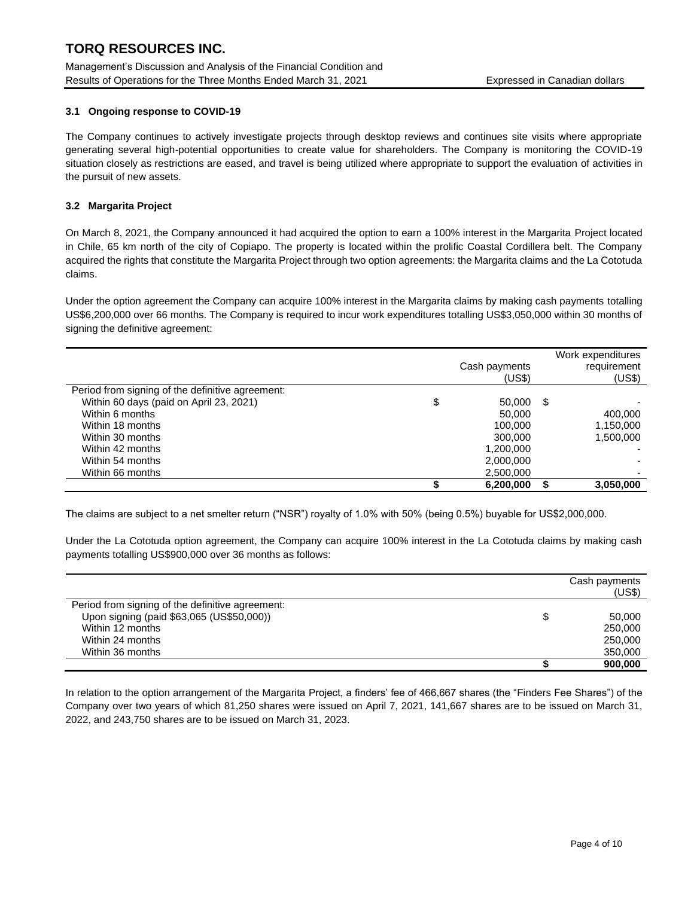Management's Discussion and Analysis of the Financial Condition and Results of Operations for the Three Months Ended March 31, 2021 Expressed in Canadian dollars

### **3.1 Ongoing response to COVID-19**

The Company continues to actively investigate projects through desktop reviews and continues site visits where appropriate generating several high-potential opportunities to create value for shareholders. The Company is monitoring the COVID-19 situation closely as restrictions are eased, and travel is being utilized where appropriate to support the evaluation of activities in the pursuit of new assets.

### **3.2 Margarita Project**

On March 8, 2021, the Company announced it had acquired the option to earn a 100% interest in the Margarita Project located in Chile, 65 km north of the city of Copiapo. The property is located within the prolific Coastal Cordillera belt. The Company acquired the rights that constitute the Margarita Project through two option agreements: the Margarita claims and the La Cototuda claims.

Under the option agreement the Company can acquire 100% interest in the Margarita claims by making cash payments totalling US\$6,200,000 over 66 months. The Company is required to incur work expenditures totalling US\$3,050,000 within 30 months of signing the definitive agreement:

|                                                  | Cash payments<br>(US\$) | Work expenditures<br>requirement<br>(US\$) |
|--------------------------------------------------|-------------------------|--------------------------------------------|
| Period from signing of the definitive agreement: |                         |                                            |
| Within 60 days (paid on April 23, 2021)          | \$<br>50,000            | \$                                         |
| Within 6 months                                  | 50,000                  | 400.000                                    |
| Within 18 months                                 | 100,000                 | 1,150,000                                  |
| Within 30 months                                 | 300,000                 | 1.500.000                                  |
| Within 42 months                                 | 1.200.000               |                                            |
| Within 54 months                                 | 2,000,000               |                                            |
| Within 66 months                                 | 2,500,000               |                                            |
|                                                  | 6,200,000               | 3,050,000                                  |

The claims are subject to a net smelter return ("NSR") royalty of 1.0% with 50% (being 0.5%) buyable for US\$2,000,000.

Under the La Cototuda option agreement, the Company can acquire 100% interest in the La Cototuda claims by making cash payments totalling US\$900,000 over 36 months as follows:

|                                                  | Cash payments<br>(US\$) |
|--------------------------------------------------|-------------------------|
| Period from signing of the definitive agreement: |                         |
| Upon signing (paid \$63,065 (US\$50,000))        | \$<br>50,000            |
| Within 12 months                                 | 250,000                 |
| Within 24 months                                 | 250,000                 |
| Within 36 months                                 | 350,000                 |
|                                                  | 900.000                 |

In relation to the option arrangement of the Margarita Project, a finders' fee of 466,667 shares (the "Finders Fee Shares") of the Company over two years of which 81,250 shares were issued on April 7, 2021, 141,667 shares are to be issued on March 31, 2022, and 243,750 shares are to be issued on March 31, 2023.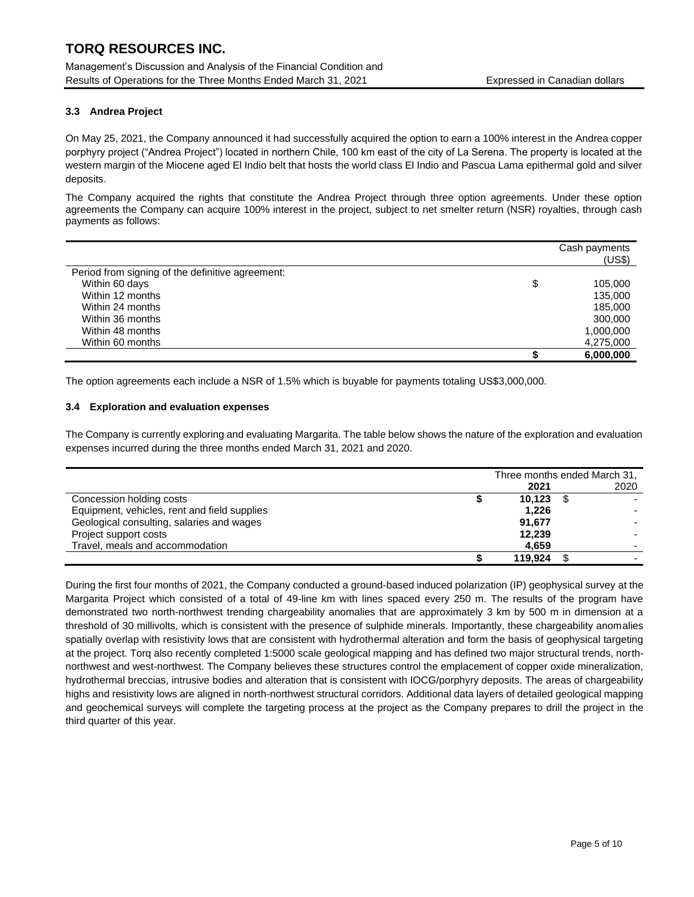Management's Discussion and Analysis of the Financial Condition and Results of Operations for the Three Months Ended March 31, 2021 Expressed in Canadian dollars

### **3.3 Andrea Project**

On May 25, 2021, the Company announced it had successfully acquired the option to earn a 100% interest in the Andrea copper porphyry project ("Andrea Project") located in northern Chile, 100 km east of the city of La Serena. The property is located at the western margin of the Miocene aged El Indio belt that hosts the world class El Indio and Pascua Lama epithermal gold and silver deposits.

The Company acquired the rights that constitute the Andrea Project through three option agreements. Under these option agreements the Company can acquire 100% interest in the project, subject to net smelter return (NSR) royalties, through cash payments as follows:

|                                                  | Cash payments<br>(US\$) |
|--------------------------------------------------|-------------------------|
| Period from signing of the definitive agreement: |                         |
| Within 60 days                                   | \$<br>105.000           |
| Within 12 months                                 | 135,000                 |
| Within 24 months                                 | 185,000                 |
| Within 36 months                                 | 300,000                 |
| Within 48 months                                 | 1,000,000               |
| Within 60 months                                 | 4,275,000               |
|                                                  | 6,000,000               |

The option agreements each include a NSR of 1.5% which is buyable for payments totaling US\$3,000,000.

#### **3.4 Exploration and evaluation expenses**

The Company is currently exploring and evaluating Margarita. The table below shows the nature of the exploration and evaluation expenses incurred during the three months ended March 31, 2021 and 2020.

|                                              | Three months ended March 31, |         |  |      |
|----------------------------------------------|------------------------------|---------|--|------|
|                                              |                              | 2021    |  | 2020 |
| Concession holding costs                     |                              | 10,123  |  |      |
| Equipment, vehicles, rent and field supplies |                              | 1,226   |  |      |
| Geological consulting, salaries and wages    |                              | 91,677  |  |      |
| Project support costs                        |                              | 12,239  |  |      |
| Travel, meals and accommodation              |                              | 4.659   |  |      |
|                                              |                              | 119.924 |  |      |

During the first four months of 2021, the Company conducted a ground-based induced polarization (IP) geophysical survey at the Margarita Project which consisted of a total of 49-line km with lines spaced every 250 m. The results of the program have demonstrated two north-northwest trending chargeability anomalies that are approximately 3 km by 500 m in dimension at a threshold of 30 millivolts, which is consistent with the presence of sulphide minerals. Importantly, these chargeability anomalies spatially overlap with resistivity lows that are consistent with hydrothermal alteration and form the basis of geophysical targeting at the project. Torq also recently completed 1:5000 scale geological mapping and has defined two major structural trends, northnorthwest and west-northwest. The Company believes these structures control the emplacement of copper oxide mineralization, hydrothermal breccias, intrusive bodies and alteration that is consistent with IOCG/porphyry deposits. The areas of chargeability highs and resistivity lows are aligned in north-northwest structural corridors. Additional data layers of detailed geological mapping and geochemical surveys will complete the targeting process at the project as the Company prepares to drill the project in the third quarter of this year.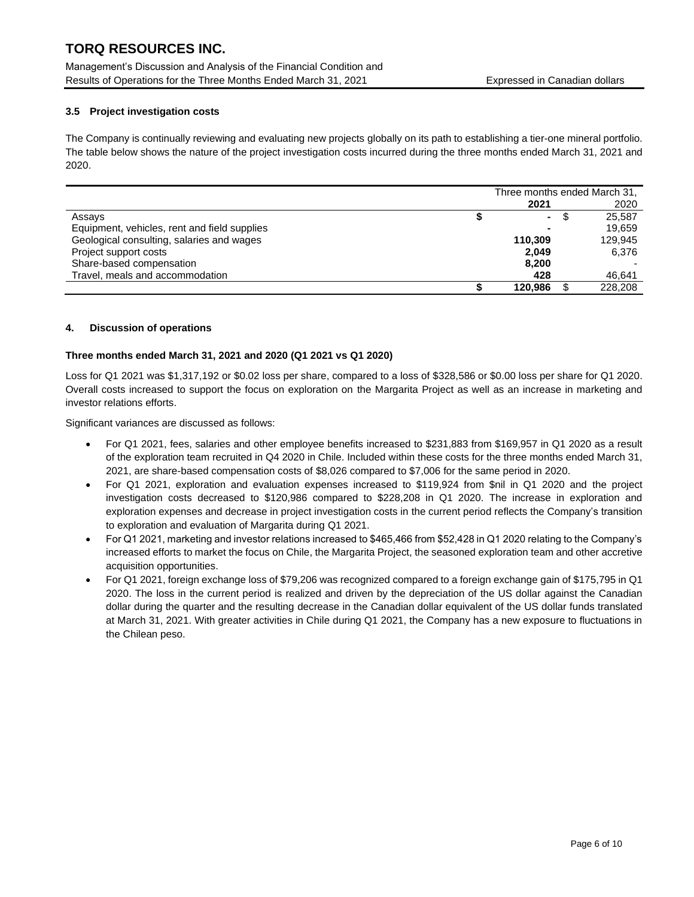Management's Discussion and Analysis of the Financial Condition and Results of Operations for the Three Months Ended March 31, 2021 Expressed in Canadian dollars

### **3.5 Project investigation costs**

The Company is continually reviewing and evaluating new projects globally on its path to establishing a tier-one mineral portfolio. The table below shows the nature of the project investigation costs incurred during the three months ended March 31, 2021 and 2020.

|                                              | Three months ended March 31, |     |         |
|----------------------------------------------|------------------------------|-----|---------|
|                                              | 2021                         |     | 2020    |
| Assays                                       | $\blacksquare$               | \$. | 25.587  |
| Equipment, vehicles, rent and field supplies |                              |     | 19.659  |
| Geological consulting, salaries and wages    | 110.309                      |     | 129.945 |
| Project support costs                        | 2.049                        |     | 6,376   |
| Share-based compensation                     | 8,200                        |     |         |
| Travel, meals and accommodation              | 428                          |     | 46,641  |
|                                              | 120.986                      |     | 228,208 |

#### **4. Discussion of operations**

#### **Three months ended March 31, 2021 and 2020 (Q1 2021 vs Q1 2020)**

Loss for Q1 2021 was \$1,317,192 or \$0.02 loss per share, compared to a loss of \$328,586 or \$0.00 loss per share for Q1 2020. Overall costs increased to support the focus on exploration on the Margarita Project as well as an increase in marketing and investor relations efforts.

Significant variances are discussed as follows:

- For Q1 2021, fees, salaries and other employee benefits increased to \$231,883 from \$169,957 in Q1 2020 as a result of the exploration team recruited in Q4 2020 in Chile. Included within these costs for the three months ended March 31, 2021, are share-based compensation costs of \$8,026 compared to \$7,006 for the same period in 2020.
- For Q1 2021, exploration and evaluation expenses increased to \$119,924 from \$nil in Q1 2020 and the project investigation costs decreased to \$120,986 compared to \$228,208 in Q1 2020. The increase in exploration and exploration expenses and decrease in project investigation costs in the current period reflects the Company's transition to exploration and evaluation of Margarita during Q1 2021.
- For Q1 2021, marketing and investor relations increased to \$465,466 from \$52,428 in Q1 2020 relating to the Company's increased efforts to market the focus on Chile, the Margarita Project, the seasoned exploration team and other accretive acquisition opportunities.
- For Q1 2021, foreign exchange loss of \$79,206 was recognized compared to a foreign exchange gain of \$175,795 in Q1 2020. The loss in the current period is realized and driven by the depreciation of the US dollar against the Canadian dollar during the quarter and the resulting decrease in the Canadian dollar equivalent of the US dollar funds translated at March 31, 2021. With greater activities in Chile during Q1 2021, the Company has a new exposure to fluctuations in the Chilean peso.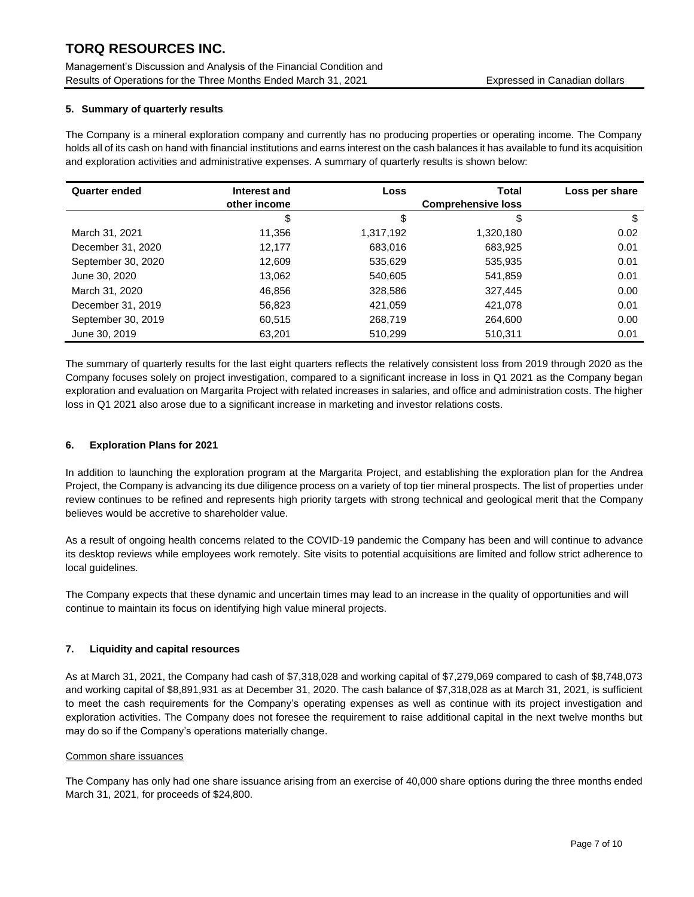Management's Discussion and Analysis of the Financial Condition and Results of Operations for the Three Months Ended March 31, 2021 Expressed in Canadian dollars

### **5. Summary of quarterly results**

The Company is a mineral exploration company and currently has no producing properties or operating income. The Company holds all of its cash on hand with financial institutions and earns interest on the cash balances it has available to fund its acquisition and exploration activities and administrative expenses. A summary of quarterly results is shown below:

| <b>Quarter ended</b> | Interest and | <b>Loss</b> | <b>Total</b> | Loss per share |
|----------------------|--------------|-------------|--------------|----------------|
|                      | other income |             |              |                |
|                      | \$           | \$          | \$           | \$             |
| March 31, 2021       | 11,356       | 1,317,192   | 1,320,180    | 0.02           |
| December 31, 2020    | 12.177       | 683,016     | 683,925      | 0.01           |
| September 30, 2020   | 12,609       | 535,629     | 535,935      | 0.01           |
| June 30, 2020        | 13,062       | 540,605     | 541,859      | 0.01           |
| March 31, 2020       | 46,856       | 328,586     | 327,445      | 0.00           |
| December 31, 2019    | 56,823       | 421,059     | 421,078      | 0.01           |
| September 30, 2019   | 60,515       | 268,719     | 264,600      | 0.00           |
| June 30, 2019        | 63,201       | 510,299     | 510,311      | 0.01           |

The summary of quarterly results for the last eight quarters reflects the relatively consistent loss from 2019 through 2020 as the Company focuses solely on project investigation, compared to a significant increase in loss in Q1 2021 as the Company began exploration and evaluation on Margarita Project with related increases in salaries, and office and administration costs. The higher loss in Q1 2021 also arose due to a significant increase in marketing and investor relations costs.

### **6. Exploration Plans for 2021**

In addition to launching the exploration program at the Margarita Project, and establishing the exploration plan for the Andrea Project, the Company is advancing its due diligence process on a variety of top tier mineral prospects. The list of properties under review continues to be refined and represents high priority targets with strong technical and geological merit that the Company believes would be accretive to shareholder value.

As a result of ongoing health concerns related to the COVID-19 pandemic the Company has been and will continue to advance its desktop reviews while employees work remotely. Site visits to potential acquisitions are limited and follow strict adherence to local guidelines.

The Company expects that these dynamic and uncertain times may lead to an increase in the quality of opportunities and will continue to maintain its focus on identifying high value mineral projects.

#### **7. Liquidity and capital resources**

As at March 31, 2021, the Company had cash of \$7,318,028 and working capital of \$7,279,069 compared to cash of \$8,748,073 and working capital of \$8,891,931 as at December 31, 2020. The cash balance of \$7,318,028 as at March 31, 2021, is sufficient to meet the cash requirements for the Company's operating expenses as well as continue with its project investigation and exploration activities. The Company does not foresee the requirement to raise additional capital in the next twelve months but may do so if the Company's operations materially change.

#### Common share issuances

The Company has only had one share issuance arising from an exercise of 40,000 share options during the three months ended March 31, 2021, for proceeds of \$24,800.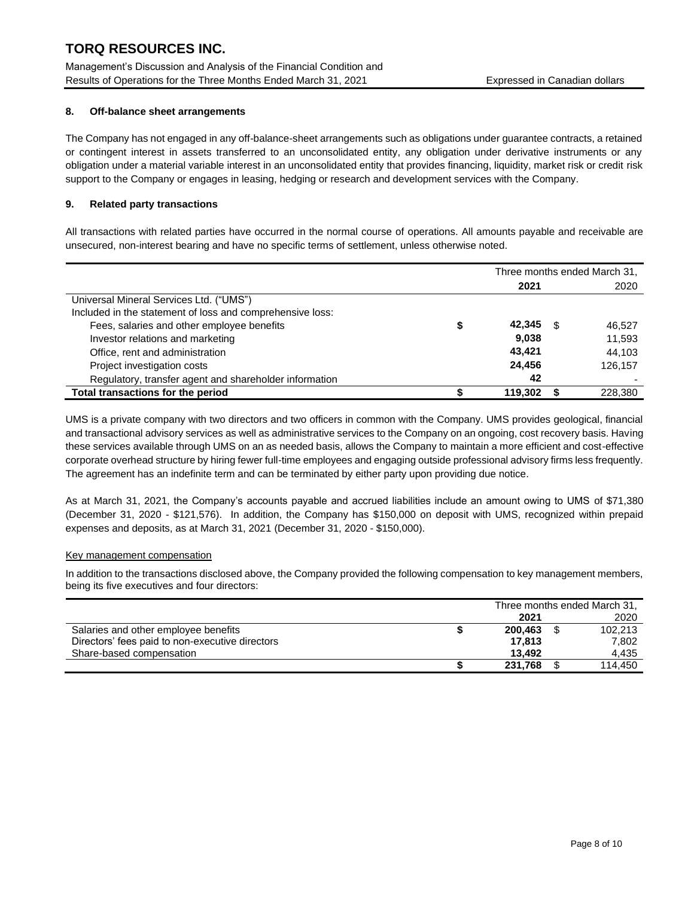Management's Discussion and Analysis of the Financial Condition and Results of Operations for the Three Months Ended March 31, 2021 Expressed in Canadian dollars

#### **8. Off-balance sheet arrangements**

The Company has not engaged in any off-balance-sheet arrangements such as obligations under guarantee contracts, a retained or contingent interest in assets transferred to an unconsolidated entity, any obligation under derivative instruments or any obligation under a material variable interest in an unconsolidated entity that provides financing, liquidity, market risk or credit risk support to the Company or engages in leasing, hedging or research and development services with the Company.

#### **9. Related party transactions**

All transactions with related parties have occurred in the normal course of operations. All amounts payable and receivable are unsecured, non-interest bearing and have no specific terms of settlement, unless otherwise noted.

|                                                           | Three months ended March 31, |         |    |         |
|-----------------------------------------------------------|------------------------------|---------|----|---------|
|                                                           |                              | 2021    |    | 2020    |
| Universal Mineral Services Ltd. ("UMS")                   |                              |         |    |         |
| Included in the statement of loss and comprehensive loss: |                              |         |    |         |
| Fees, salaries and other employee benefits                |                              | 42,345  | £. | 46,527  |
| Investor relations and marketing                          |                              | 9,038   |    | 11,593  |
| Office, rent and administration                           |                              | 43.421  |    | 44,103  |
| Project investigation costs                               |                              | 24.456  |    | 126.157 |
| Regulatory, transfer agent and shareholder information    |                              | 42      |    |         |
| Total transactions for the period                         |                              | 119,302 |    | 228,380 |

UMS is a private company with two directors and two officers in common with the Company. UMS provides geological, financial and transactional advisory services as well as administrative services to the Company on an ongoing, cost recovery basis. Having these services available through UMS on an as needed basis, allows the Company to maintain a more efficient and cost-effective corporate overhead structure by hiring fewer full-time employees and engaging outside professional advisory firms less frequently. The agreement has an indefinite term and can be terminated by either party upon providing due notice.

As at March 31, 2021, the Company's accounts payable and accrued liabilities include an amount owing to UMS of \$71,380 (December 31, 2020 - \$121,576). In addition, the Company has \$150,000 on deposit with UMS, recognized within prepaid expenses and deposits, as at March 31, 2021 (December 31, 2020 - \$150,000).

#### Key management compensation

In addition to the transactions disclosed above, the Company provided the following compensation to key management members, being its five executives and four directors:

|                                                 | Three months ended March 31, |  |         |
|-------------------------------------------------|------------------------------|--|---------|
|                                                 | 2021                         |  | 2020    |
| Salaries and other employee benefits            | 200.463                      |  | 102,213 |
| Directors' fees paid to non-executive directors | 17.813                       |  | 7.802   |
| Share-based compensation                        | 13.492                       |  | 4.435   |
|                                                 | 231,768                      |  | 114.450 |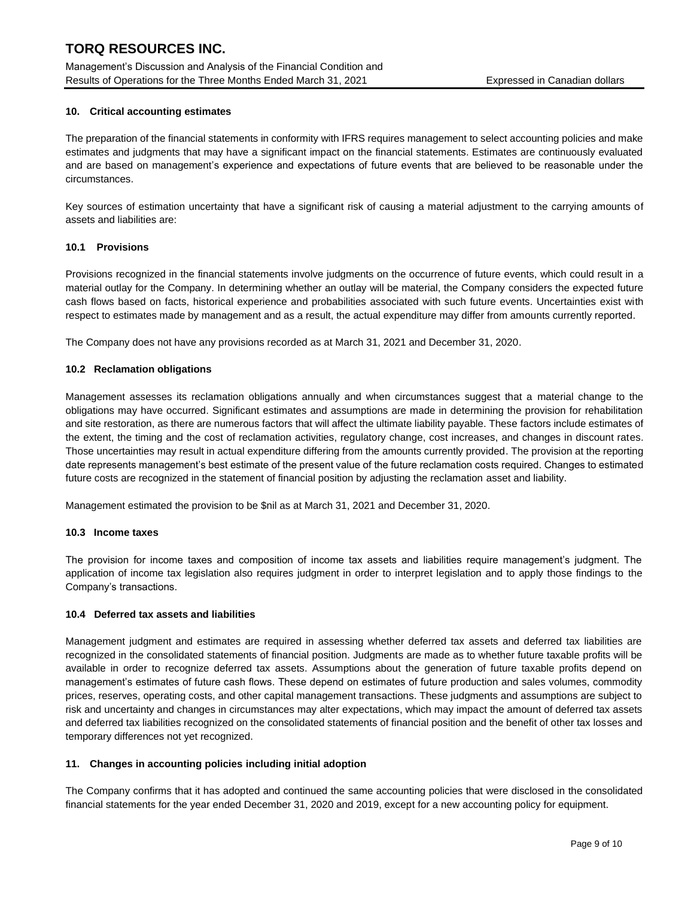Management's Discussion and Analysis of the Financial Condition and Results of Operations for the Three Months Ended March 31, 2021 Expressed in Canadian dollars

#### **10. Critical accounting estimates**

The preparation of the financial statements in conformity with IFRS requires management to select accounting policies and make estimates and judgments that may have a significant impact on the financial statements. Estimates are continuously evaluated and are based on management's experience and expectations of future events that are believed to be reasonable under the circumstances.

Key sources of estimation uncertainty that have a significant risk of causing a material adjustment to the carrying amounts of assets and liabilities are:

#### **10.1 Provisions**

Provisions recognized in the financial statements involve judgments on the occurrence of future events, which could result in a material outlay for the Company. In determining whether an outlay will be material, the Company considers the expected future cash flows based on facts, historical experience and probabilities associated with such future events. Uncertainties exist with respect to estimates made by management and as a result, the actual expenditure may differ from amounts currently reported.

The Company does not have any provisions recorded as at March 31, 2021 and December 31, 2020.

#### **10.2 Reclamation obligations**

Management assesses its reclamation obligations annually and when circumstances suggest that a material change to the obligations may have occurred. Significant estimates and assumptions are made in determining the provision for rehabilitation and site restoration, as there are numerous factors that will affect the ultimate liability payable. These factors include estimates of the extent, the timing and the cost of reclamation activities, regulatory change, cost increases, and changes in discount rates. Those uncertainties may result in actual expenditure differing from the amounts currently provided. The provision at the reporting date represents management's best estimate of the present value of the future reclamation costs required. Changes to estimated future costs are recognized in the statement of financial position by adjusting the reclamation asset and liability.

Management estimated the provision to be \$nil as at March 31, 2021 and December 31, 2020.

#### **10.3 Income taxes**

The provision for income taxes and composition of income tax assets and liabilities require management's judgment. The application of income tax legislation also requires judgment in order to interpret legislation and to apply those findings to the Company's transactions.

#### **10.4 Deferred tax assets and liabilities**

Management judgment and estimates are required in assessing whether deferred tax assets and deferred tax liabilities are recognized in the consolidated statements of financial position. Judgments are made as to whether future taxable profits will be available in order to recognize deferred tax assets. Assumptions about the generation of future taxable profits depend on management's estimates of future cash flows. These depend on estimates of future production and sales volumes, commodity prices, reserves, operating costs, and other capital management transactions. These judgments and assumptions are subject to risk and uncertainty and changes in circumstances may alter expectations, which may impact the amount of deferred tax assets and deferred tax liabilities recognized on the consolidated statements of financial position and the benefit of other tax losses and temporary differences not yet recognized.

#### **11. Changes in accounting policies including initial adoption**

The Company confirms that it has adopted and continued the same accounting policies that were disclosed in the consolidated financial statements for the year ended December 31, 2020 and 2019, except for a new accounting policy for equipment.